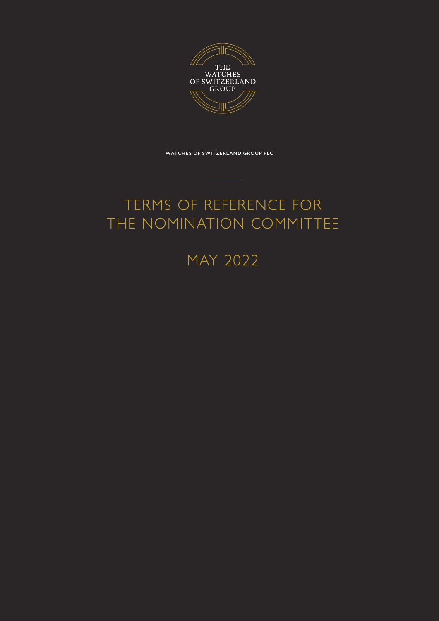

**WATCHES OF SWITZERLAND GROUP PLC**

# TERMS OF REFERENCE FOR THE NOMINATION COMMITTEE

# MAY 2022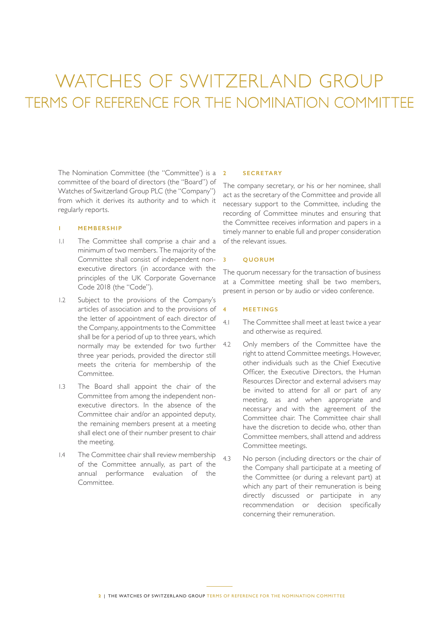# WATCHES OF SWITZERLAND GROUP TERMS OF REFERENCE FOR THE NOMINATION COMMITTEE

The Nomination Committee (the "Committee') is a committee of the board of directors (the "Board") of Watches of Switzerland Group PLC (the "Company") from which it derives its authority and to which it regularly reports.

#### **1 MEMBERSHIP**

- 1.1 The Committee shall comprise a chair and a minimum of two members. The majority of the Committee shall consist of independent nonexecutive directors (in accordance with the principles of the UK Corporate Governance Code 2018 (the "Code").
- 1.2 Subject to the provisions of the Company's articles of association and to the provisions of the letter of appointment of each director of the Company, appointments to the Committee shall be for a period of up to three years, which normally may be extended for two further three year periods, provided the director still meets the criteria for membership of the Committee.
- 1.3 The Board shall appoint the chair of the Committee from among the independent nonexecutive directors. In the absence of the Committee chair and/or an appointed deputy, the remaining members present at a meeting shall elect one of their number present to chair the meeting.
- 1.4 The Committee chair shall review membership of the Committee annually, as part of the annual performance evaluation of the Committee.

#### **2 SECRETARY**

The company secretary, or his or her nominee, shall act as the secretary of the Committee and provide all necessary support to the Committee, including the recording of Committee minutes and ensuring that the Committee receives information and papers in a timely manner to enable full and proper consideration of the relevant issues.

### **3 QUORUM**

The quorum necessary for the transaction of business at a Committee meeting shall be two members, present in person or by audio or video conference.

#### **4 MEETINGS**

- 4.1 The Committee shall meet at least twice a year and otherwise as required.
- 4.2 Only members of the Committee have the right to attend Committee meetings. However, other individuals such as the Chief Executive Officer, the Executive Directors, the Human Resources Director and external advisers may be invited to attend for all or part of any meeting, as and when appropriate and necessary and with the agreement of the Committee chair. The Committee chair shall have the discretion to decide who, other than Committee members, shall attend and address Committee meetings.
- 4.3 No person (including directors or the chair of the Company shall participate at a meeting of the Committee (or during a relevant part) at which any part of their remuneration is being directly discussed or participate in any recommendation or decision specifically concerning their remuneration.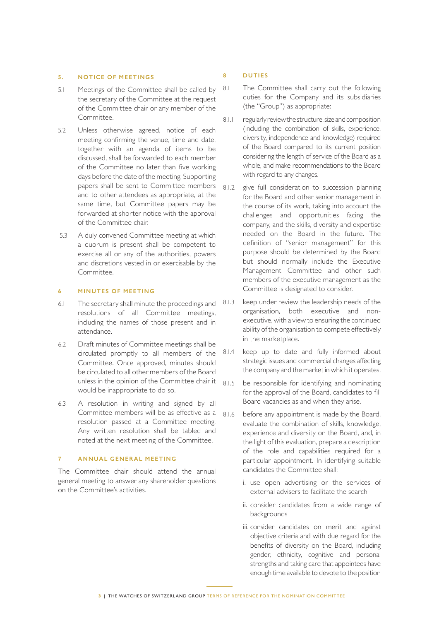## **5. NOTICE OF MEETINGS**

- 5.1 Meetings of the Committee shall be called by the secretary of the Committee at the request of the Committee chair or any member of the Committee.
- 5.2 Unless otherwise agreed, notice of each meeting confirming the venue, time and date, together with an agenda of items to be discussed, shall be forwarded to each member of the Committee no later than five working days before the date of the meeting. Supporting papers shall be sent to Committee members and to other attendees as appropriate, at the same time, but Committee papers may be forwarded at shorter notice with the approval of the Committee chair.
- 5.3 A duly convened Committee meeting at which a quorum is present shall be competent to exercise all or any of the authorities, powers and discretions vested in or exercisable by the Committee.

### **6 MINUTES OF MEETING**

- 6.1 The secretary shall minute the proceedings and resolutions of all Committee meetings, including the names of those present and in attendance.
- 6.2 Draft minutes of Committee meetings shall be circulated promptly to all members of the Committee. Once approved, minutes should be circulated to all other members of the Board unless in the opinion of the Committee chair it would be inappropriate to do so.
- 6.3 A resolution in writing and signed by all Committee members will be as effective as a resolution passed at a Committee meeting. Any written resolution shall be tabled and noted at the next meeting of the Committee.

### **7 ANNUAL GENERAL MEETING**

The Committee chair should attend the annual general meeting to answer any shareholder questions on the Committee's activities.

#### **8 DUTIES**

- 8.1 The Committee shall carry out the following duties for the Company and its subsidiaries (the "Group") as appropriate:
- 8.1.1 regularly review the structure, size and composition (including the combination of skills, experience, diversity, independence and knowledge) required of the Board compared to its current position considering the length of service of the Board as a whole, and make recommendations to the Board with regard to any changes.
- 8.1.2 give full consideration to succession planning for the Board and other senior management in the course of its work, taking into account the challenges and opportunities facing the company, and the skills, diversity and expertise needed on the Board in the future. The definition of "senior management" for this purpose should be determined by the Board but should normally include the Executive Management Committee and other such members of the executive management as the Committee is designated to consider.
- 8.1.3 keep under review the leadership needs of the organisation, both executive and nonexecutive, with a view to ensuring the continued ability of the organisation to compete effectively in the marketplace.
- 8.1.4 keep up to date and fully informed about strategic issues and commercial changes affecting the company and the market in which it operates.
- 8.1.5 be responsible for identifying and nominating for the approval of the Board, candidates to fill Board vacancies as and when they arise.
- 8.1.6 before any appointment is made by the Board, evaluate the combination of skills, knowledge, experience and diversity on the Board, and, in the light of this evaluation, prepare a description of the role and capabilities required for a particular appointment. In identifying suitable candidates the Committee shall:
	- i. use open advertising or the services of external advisers to facilitate the search
	- ii. consider candidates from a wide range of backgrounds
	- iii. consider candidates on merit and against objective criteria and with due regard for the benefits of diversity on the Board, including gender, ethnicity, cognitive and personal strengths and taking care that appointees have enough time available to devote to the position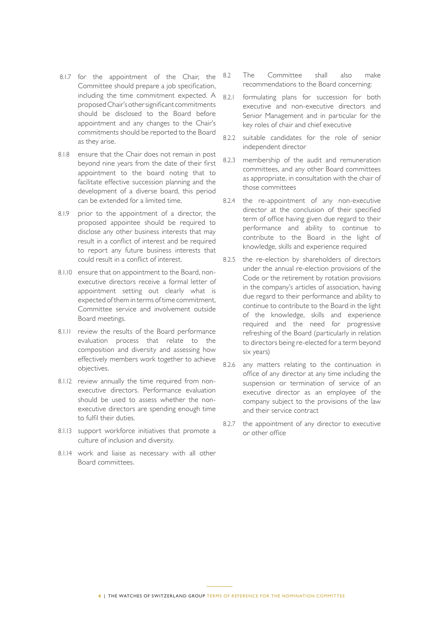- 8.1.7 for the appointment of the Chair, the Committee should prepare a job specification, including the time commitment expected. A proposed Chair's other significant commitments should be disclosed to the Board before appointment and any changes to the Chair's commitments should be reported to the Board as they arise.
- 8.1.8 ensure that the Chair does not remain in post beyond nine years from the date of their first appointment to the board noting that to facilitate effective succession planning and the development of a diverse board, this period can be extended for a limited time.
- 8.1.9 prior to the appointment of a director, the proposed appointee should be required to disclose any other business interests that may result in a conflict of interest and be required to report any future business interests that could result in a conflict of interest.
- 8.1.10 ensure that on appointment to the Board, nonexecutive directors receive a formal letter of appointment setting out clearly what is expected of them in terms of time commitment, Committee service and involvement outside Board meetings.
- 8.1.11 review the results of the Board performance evaluation process that relate to the composition and diversity and assessing how effectively members work together to achieve objectives.
- 8.1.12 review annually the time required from nonexecutive directors. Performance evaluation should be used to assess whether the nonexecutive directors are spending enough time to fulfil their duties.
- 8.1.13 support workforce initiatives that promote a culture of inclusion and diversity.
- 8.1.14 work and liaise as necessary with all other Board committees.
- 8.2 The Committee shall also make recommendations to the Board concerning:
- 8.2.1 formulating plans for succession for both executive and non-executive directors and Senior Management and in particular for the key roles of chair and chief executive
- 8.2.2 suitable candidates for the role of senior independent director
- 8.2.3 membership of the audit and remuneration committees, and any other Board committees as appropriate, in consultation with the chair of those committees
- 8.2.4 the re-appointment of any non-executive director at the conclusion of their specified term of office having given due regard to their performance and ability to continue to contribute to the Board in the light of knowledge, skills and experience required
- 8.2.5 the re-election by shareholders of directors under the annual re-election provisions of the Code or the retirement by rotation provisions in the company's articles of association, having due regard to their performance and ability to continue to contribute to the Board in the light of the knowledge, skills and experience required and the need for progressive refreshing of the Board (particularly in relation to directors being re-elected for a term beyond six years)
- 8.2.6 any matters relating to the continuation in office of any director at any time including the suspension or termination of service of an executive director as an employee of the company subject to the provisions of the law and their service contract
- 8.2.7 the appointment of any director to executive or other office